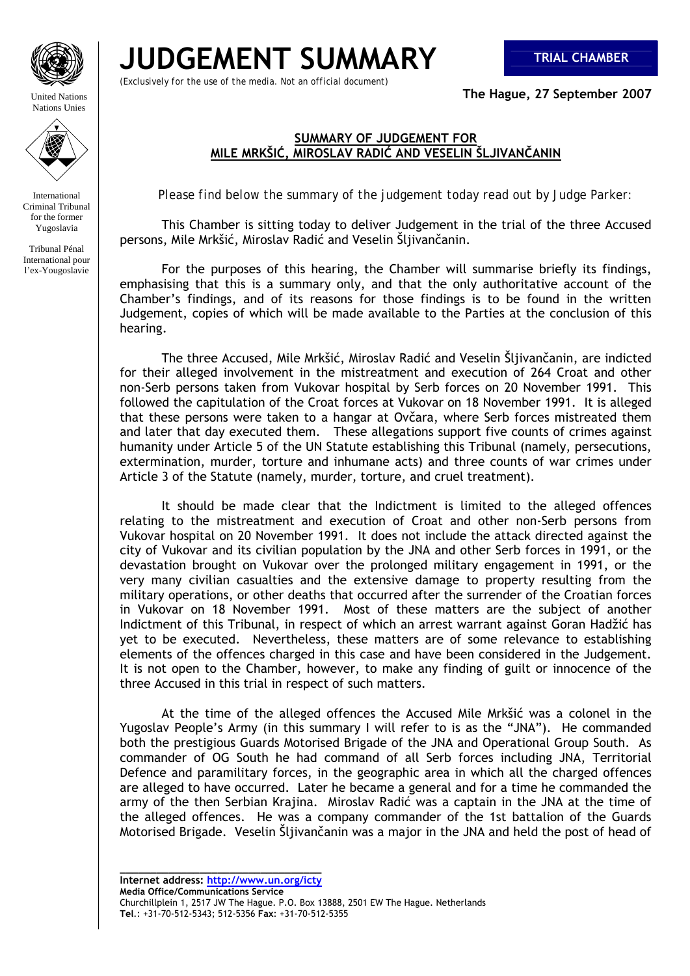

United Nations Nations Unies



International Criminal Tribunal for the former Yugoslavia

Tribunal Pénal International pour l'ex-Yougoslavie

## **JUDGEMENT SUMMARY TRIAL CHAMBER**

*(Exclusively for the use of the media. Not an official document)*

**The Hague, 27 September 2007** 

## **SUMMARY OF JUDGEMENT FOR MILE MRKŠIĆ, MIROSLAV RADIĆ AND VESELIN ŠLJIVANČANIN**

*Please find below the summary of the judgement today read out by Judge Parker:* 

This Chamber is sitting today to deliver Judgement in the trial of the three Accused persons, Mile Mrkšić, Miroslav Radić and Veselin Šljivančanin.

 For the purposes of this hearing, the Chamber will summarise briefly its findings, emphasising that this is a summary only, and that the only authoritative account of the Chamber's findings, and of its reasons for those findings is to be found in the written Judgement, copies of which will be made available to the Parties at the conclusion of this hearing.

 The three Accused, Mile Mrkšić, Miroslav Radić and Veselin Šljivančanin, are indicted for their alleged involvement in the mistreatment and execution of 264 Croat and other non-Serb persons taken from Vukovar hospital by Serb forces on 20 November 1991. This followed the capitulation of the Croat forces at Vukovar on 18 November 1991. It is alleged that these persons were taken to a hangar at Ovčara, where Serb forces mistreated them and later that day executed them. These allegations support five counts of crimes against humanity under Article 5 of the UN Statute establishing this Tribunal (namely, persecutions, extermination, murder, torture and inhumane acts) and three counts of war crimes under Article 3 of the Statute (namely, murder, torture, and cruel treatment).

 It should be made clear that the Indictment is limited to the alleged offences relating to the mistreatment and execution of Croat and other non-Serb persons from Vukovar hospital on 20 November 1991. It does not include the attack directed against the city of Vukovar and its civilian population by the JNA and other Serb forces in 1991, or the devastation brought on Vukovar over the prolonged military engagement in 1991, or the very many civilian casualties and the extensive damage to property resulting from the military operations, or other deaths that occurred after the surrender of the Croatian forces in Vukovar on 18 November 1991. Most of these matters are the subject of another Indictment of this Tribunal, in respect of which an arrest warrant against Goran Hadžić has yet to be executed. Nevertheless, these matters are of some relevance to establishing elements of the offences charged in this case and have been considered in the Judgement. It is not open to the Chamber, however, to make any finding of guilt or innocence of the three Accused in this trial in respect of such matters.

 At the time of the alleged offences the Accused Mile Mrkšić was a colonel in the Yugoslav People's Army (in this summary I will refer to is as the "JNA"). He commanded both the prestigious Guards Motorised Brigade of the JNA and Operational Group South. As commander of OG South he had command of all Serb forces including JNA, Territorial Defence and paramilitary forces, in the geographic area in which all the charged offences are alleged to have occurred. Later he became a general and for a time he commanded the army of the then Serbian Krajina. Miroslav Radić was a captain in the JNA at the time of the alleged offences. He was a company commander of the 1st battalion of the Guards Motorised Brigade. Veselin Šljivančanin was a major in the JNA and held the post of head of

**\_\_\_\_\_\_\_\_\_\_\_\_\_\_\_\_\_\_\_\_\_\_\_\_\_\_\_\_\_\_\_\_\_ Internet address: http://www.un.org/icty**

**Media Office/Communications Service**  Churchillplein 1, 2517 JW The Hague. P.O. Box 13888, 2501 EW The Hague. Netherlands **Tel**.: +31-70-512-5343; 512-5356 **Fax**: +31-70-512-5355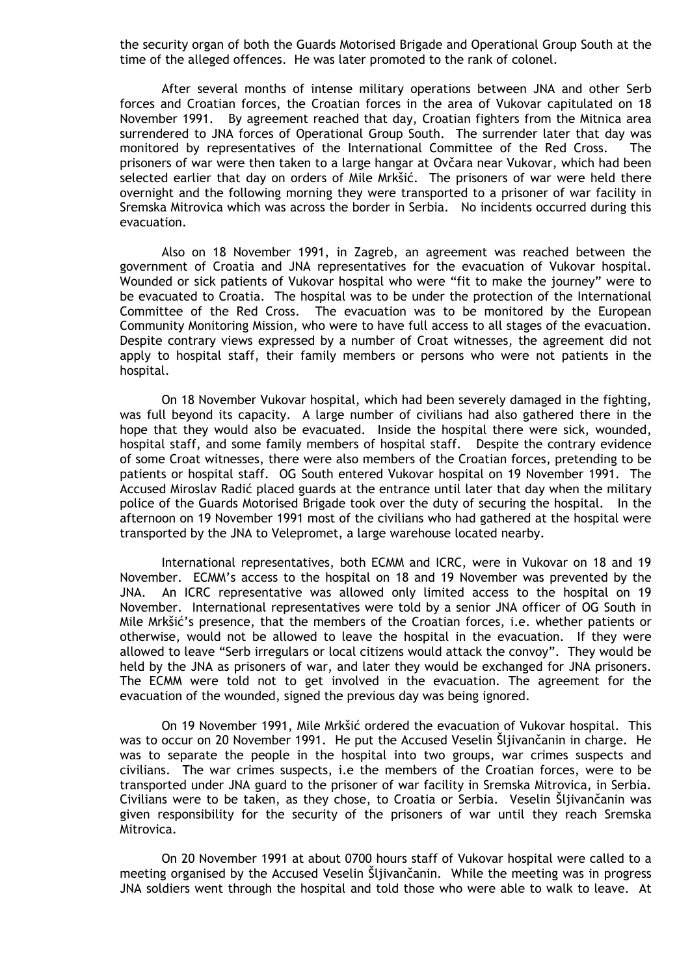the security organ of both the Guards Motorised Brigade and Operational Group South at the time of the alleged offences. He was later promoted to the rank of colonel.

 After several months of intense military operations between JNA and other Serb forces and Croatian forces, the Croatian forces in the area of Vukovar capitulated on 18 November 1991. By agreement reached that day, Croatian fighters from the Mitnica area surrendered to JNA forces of Operational Group South. The surrender later that day was monitored by representatives of the International Committee of the Red Cross. The prisoners of war were then taken to a large hangar at Ovčara near Vukovar, which had been selected earlier that day on orders of Mile Mrkšić. The prisoners of war were held there overnight and the following morning they were transported to a prisoner of war facility in Sremska Mitrovica which was across the border in Serbia. No incidents occurred during this evacuation.

 Also on 18 November 1991, in Zagreb, an agreement was reached between the government of Croatia and JNA representatives for the evacuation of Vukovar hospital. Wounded or sick patients of Vukovar hospital who were "fit to make the journey" were to be evacuated to Croatia. The hospital was to be under the protection of the International Committee of the Red Cross. The evacuation was to be monitored by the European Community Monitoring Mission, who were to have full access to all stages of the evacuation. Despite contrary views expressed by a number of Croat witnesses, the agreement did not apply to hospital staff, their family members or persons who were not patients in the hospital.

 On 18 November Vukovar hospital, which had been severely damaged in the fighting, was full beyond its capacity. A large number of civilians had also gathered there in the hope that they would also be evacuated. Inside the hospital there were sick, wounded, hospital staff, and some family members of hospital staff. Despite the contrary evidence of some Croat witnesses, there were also members of the Croatian forces, pretending to be patients or hospital staff. OG South entered Vukovar hospital on 19 November 1991. The Accused Miroslav Radić placed guards at the entrance until later that day when the military police of the Guards Motorised Brigade took over the duty of securing the hospital. In the afternoon on 19 November 1991 most of the civilians who had gathered at the hospital were transported by the JNA to Velepromet, a large warehouse located nearby.

 International representatives, both ECMM and ICRC, were in Vukovar on 18 and 19 November. ECMM's access to the hospital on 18 and 19 November was prevented by the JNA. An ICRC representative was allowed only limited access to the hospital on 19 November. International representatives were told by a senior JNA officer of OG South in Mile Mrkšić's presence, that the members of the Croatian forces, i.e. whether patients or otherwise, would not be allowed to leave the hospital in the evacuation. If they were allowed to leave "Serb irregulars or local citizens would attack the convoy". They would be held by the JNA as prisoners of war, and later they would be exchanged for JNA prisoners. The ECMM were told not to get involved in the evacuation. The agreement for the evacuation of the wounded, signed the previous day was being ignored.

 On 19 November 1991, Mile Mrkšić ordered the evacuation of Vukovar hospital. This was to occur on 20 November 1991. He put the Accused Veselin Šljivančanin in charge. He was to separate the people in the hospital into two groups, war crimes suspects and civilians. The war crimes suspects, i.e the members of the Croatian forces, were to be transported under JNA guard to the prisoner of war facility in Sremska Mitrovica, in Serbia. Civilians were to be taken, as they chose, to Croatia or Serbia. Veselin Šljivančanin was given responsibility for the security of the prisoners of war until they reach Sremska Mitrovica.

 On 20 November 1991 at about 0700 hours staff of Vukovar hospital were called to a meeting organised by the Accused Veselin Šljivančanin. While the meeting was in progress JNA soldiers went through the hospital and told those who were able to walk to leave. At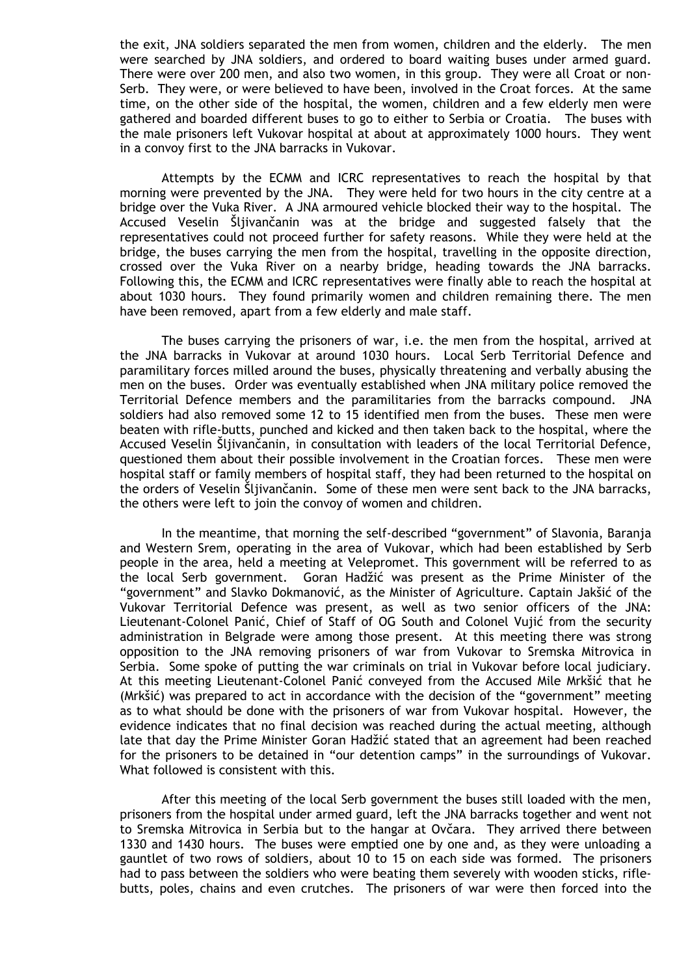the exit, JNA soldiers separated the men from women, children and the elderly. The men were searched by JNA soldiers, and ordered to board waiting buses under armed guard. There were over 200 men, and also two women, in this group. They were all Croat or non-Serb. They were, or were believed to have been, involved in the Croat forces. At the same time, on the other side of the hospital, the women, children and a few elderly men were gathered and boarded different buses to go to either to Serbia or Croatia. The buses with the male prisoners left Vukovar hospital at about at approximately 1000 hours. They went in a convoy first to the JNA barracks in Vukovar.

 Attempts by the ECMM and ICRC representatives to reach the hospital by that morning were prevented by the JNA. They were held for two hours in the city centre at a bridge over the Vuka River. A JNA armoured vehicle blocked their way to the hospital. The Accused Veselin Šljivančanin was at the bridge and suggested falsely that the representatives could not proceed further for safety reasons. While they were held at the bridge, the buses carrying the men from the hospital, travelling in the opposite direction, crossed over the Vuka River on a nearby bridge, heading towards the JNA barracks. Following this, the ECMM and ICRC representatives were finally able to reach the hospital at about 1030 hours. They found primarily women and children remaining there. The men have been removed, apart from a few elderly and male staff.

 The buses carrying the prisoners of war, i.e. the men from the hospital, arrived at the JNA barracks in Vukovar at around 1030 hours. Local Serb Territorial Defence and paramilitary forces milled around the buses, physically threatening and verbally abusing the men on the buses. Order was eventually established when JNA military police removed the Territorial Defence members and the paramilitaries from the barracks compound. JNA soldiers had also removed some 12 to 15 identified men from the buses. These men were beaten with rifle-butts, punched and kicked and then taken back to the hospital, where the Accused Veselin Šljivančanin, in consultation with leaders of the local Territorial Defence, questioned them about their possible involvement in the Croatian forces. These men were hospital staff or family members of hospital staff, they had been returned to the hospital on the orders of Veselin Šljivančanin. Some of these men were sent back to the JNA barracks, the others were left to join the convoy of women and children.

 In the meantime, that morning the self-described "government" of Slavonia, Baranja and Western Srem, operating in the area of Vukovar, which had been established by Serb people in the area, held a meeting at Velepromet. This government will be referred to as the local Serb government. Goran Hadžić was present as the Prime Minister of the "government" and Slavko Dokmanović, as the Minister of Agriculture. Captain Jakšić of the Vukovar Territorial Defence was present, as well as two senior officers of the JNA: Lieutenant-Colonel Panić, Chief of Staff of OG South and Colonel Vujić from the security administration in Belgrade were among those present. At this meeting there was strong opposition to the JNA removing prisoners of war from Vukovar to Sremska Mitrovica in Serbia. Some spoke of putting the war criminals on trial in Vukovar before local judiciary. At this meeting Lieutenant-Colonel Panić conveyed from the Accused Mile Mrkšić that he (Mrkšić) was prepared to act in accordance with the decision of the "government" meeting as to what should be done with the prisoners of war from Vukovar hospital. However, the evidence indicates that no final decision was reached during the actual meeting, although late that day the Prime Minister Goran Hadžić stated that an agreement had been reached for the prisoners to be detained in "our detention camps" in the surroundings of Vukovar. What followed is consistent with this.

 After this meeting of the local Serb government the buses still loaded with the men, prisoners from the hospital under armed guard, left the JNA barracks together and went not to Sremska Mitrovica in Serbia but to the hangar at Ovčara. They arrived there between 1330 and 1430 hours. The buses were emptied one by one and, as they were unloading a gauntlet of two rows of soldiers, about 10 to 15 on each side was formed. The prisoners had to pass between the soldiers who were beating them severely with wooden sticks, riflebutts, poles, chains and even crutches. The prisoners of war were then forced into the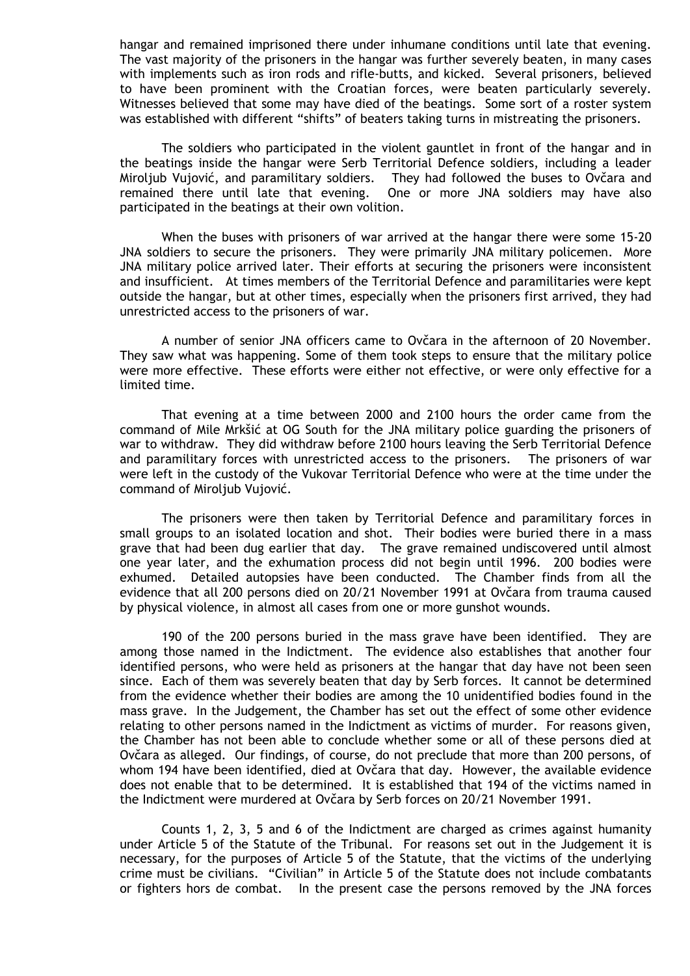hangar and remained imprisoned there under inhumane conditions until late that evening. The vast majority of the prisoners in the hangar was further severely beaten, in many cases with implements such as iron rods and rifle-butts, and kicked. Several prisoners, believed to have been prominent with the Croatian forces, were beaten particularly severely. Witnesses believed that some may have died of the beatings. Some sort of a roster system was established with different "shifts" of beaters taking turns in mistreating the prisoners.

 The soldiers who participated in the violent gauntlet in front of the hangar and in the beatings inside the hangar were Serb Territorial Defence soldiers, including a leader Miroljub Vujović, and paramilitary soldiers. They had followed the buses to Ovčara and remained there until late that evening. One or more JNA soldiers may have also participated in the beatings at their own volition.

 When the buses with prisoners of war arrived at the hangar there were some 15-20 JNA soldiers to secure the prisoners. They were primarily JNA military policemen. More JNA military police arrived later. Their efforts at securing the prisoners were inconsistent and insufficient. At times members of the Territorial Defence and paramilitaries were kept outside the hangar, but at other times, especially when the prisoners first arrived, they had unrestricted access to the prisoners of war.

 A number of senior JNA officers came to Ovčara in the afternoon of 20 November. They saw what was happening. Some of them took steps to ensure that the military police were more effective. These efforts were either not effective, or were only effective for a limited time.

 That evening at a time between 2000 and 2100 hours the order came from the command of Mile Mrkšić at OG South for the JNA military police guarding the prisoners of war to withdraw. They did withdraw before 2100 hours leaving the Serb Territorial Defence and paramilitary forces with unrestricted access to the prisoners. The prisoners of war were left in the custody of the Vukovar Territorial Defence who were at the time under the command of Miroljub Vujović.

 The prisoners were then taken by Territorial Defence and paramilitary forces in small groups to an isolated location and shot. Their bodies were buried there in a mass grave that had been dug earlier that day. The grave remained undiscovered until almost one year later, and the exhumation process did not begin until 1996. 200 bodies were exhumed. Detailed autopsies have been conducted. The Chamber finds from all the evidence that all 200 persons died on 20/21 November 1991 at Ovčara from trauma caused by physical violence, in almost all cases from one or more gunshot wounds.

 190 of the 200 persons buried in the mass grave have been identified. They are among those named in the Indictment. The evidence also establishes that another four identified persons, who were held as prisoners at the hangar that day have not been seen since. Each of them was severely beaten that day by Serb forces. It cannot be determined from the evidence whether their bodies are among the 10 unidentified bodies found in the mass grave. In the Judgement, the Chamber has set out the effect of some other evidence relating to other persons named in the Indictment as victims of murder. For reasons given, the Chamber has not been able to conclude whether some or all of these persons died at Ovčara as alleged. Our findings, of course, do not preclude that more than 200 persons, of whom 194 have been identified, died at Ovčara that day. However, the available evidence does not enable that to be determined. It is established that 194 of the victims named in the Indictment were murdered at Ovčara by Serb forces on 20/21 November 1991.

 Counts 1, 2, 3, 5 and 6 of the Indictment are charged as crimes against humanity under Article 5 of the Statute of the Tribunal. For reasons set out in the Judgement it is necessary, for the purposes of Article 5 of the Statute, that the victims of the underlying crime must be civilians. "Civilian" in Article 5 of the Statute does not include combatants or fighters hors de combat. In the present case the persons removed by the JNA forces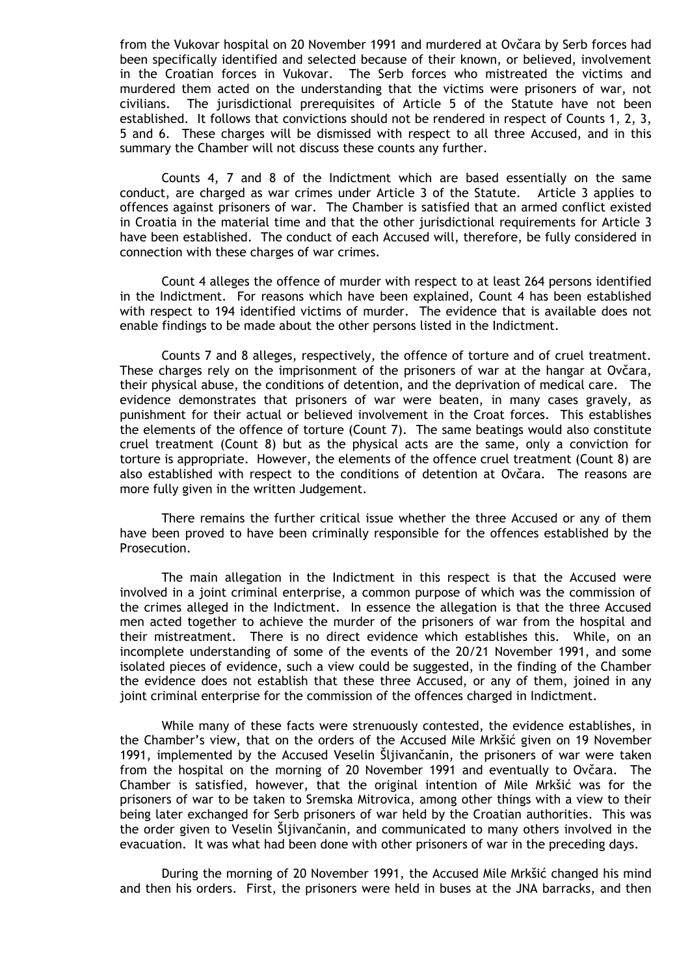from the Vukovar hospital on 20 November 1991 and murdered at Ovčara by Serb forces had been specifically identified and selected because of their known, or believed, involvement in the Croatian forces in Vukovar. The Serb forces who mistreated the victims and murdered them acted on the understanding that the victims were prisoners of war, not civilians. The jurisdictional prerequisites of Article 5 of the Statute have not been established. It follows that convictions should not be rendered in respect of Counts 1, 2, 3, 5 and 6. These charges will be dismissed with respect to all three Accused, and in this summary the Chamber will not discuss these counts any further.

 Counts 4, 7 and 8 of the Indictment which are based essentially on the same conduct, are charged as war crimes under Article 3 of the Statute. Article 3 applies to offences against prisoners of war. The Chamber is satisfied that an armed conflict existed in Croatia in the material time and that the other jurisdictional requirements for Article 3 have been established. The conduct of each Accused will, therefore, be fully considered in connection with these charges of war crimes.

 Count 4 alleges the offence of murder with respect to at least 264 persons identified in the Indictment. For reasons which have been explained, Count 4 has been established with respect to 194 identified victims of murder. The evidence that is available does not enable findings to be made about the other persons listed in the Indictment.

 Counts 7 and 8 alleges, respectively, the offence of torture and of cruel treatment. These charges rely on the imprisonment of the prisoners of war at the hangar at Ovčara, their physical abuse, the conditions of detention, and the deprivation of medical care. The evidence demonstrates that prisoners of war were beaten, in many cases gravely, as punishment for their actual or believed involvement in the Croat forces. This establishes the elements of the offence of torture (Count 7). The same beatings would also constitute cruel treatment (Count 8) but as the physical acts are the same, only a conviction for torture is appropriate. However, the elements of the offence cruel treatment (Count 8) are also established with respect to the conditions of detention at Ovčara. The reasons are more fully given in the written Judgement.

 There remains the further critical issue whether the three Accused or any of them have been proved to have been criminally responsible for the offences established by the Prosecution.

 The main allegation in the Indictment in this respect is that the Accused were involved in a joint criminal enterprise, a common purpose of which was the commission of the crimes alleged in the Indictment. In essence the allegation is that the three Accused men acted together to achieve the murder of the prisoners of war from the hospital and their mistreatment. There is no direct evidence which establishes this. While, on an incomplete understanding of some of the events of the 20/21 November 1991, and some isolated pieces of evidence, such a view could be suggested, in the finding of the Chamber the evidence does not establish that these three Accused, or any of them, joined in any joint criminal enterprise for the commission of the offences charged in Indictment.

 While many of these facts were strenuously contested, the evidence establishes, in the Chamber's view, that on the orders of the Accused Mile Mrkšić given on 19 November 1991, implemented by the Accused Veselin Šljivančanin, the prisoners of war were taken from the hospital on the morning of 20 November 1991 and eventually to Ovčara. The Chamber is satisfied, however, that the original intention of Mile Mrkšić was for the prisoners of war to be taken to Sremska Mitrovica, among other things with a view to their being later exchanged for Serb prisoners of war held by the Croatian authorities. This was the order given to Veselin Šljivančanin, and communicated to many others involved in the evacuation. It was what had been done with other prisoners of war in the preceding days.

 During the morning of 20 November 1991, the Accused Mile Mrkšić changed his mind and then his orders. First, the prisoners were held in buses at the JNA barracks, and then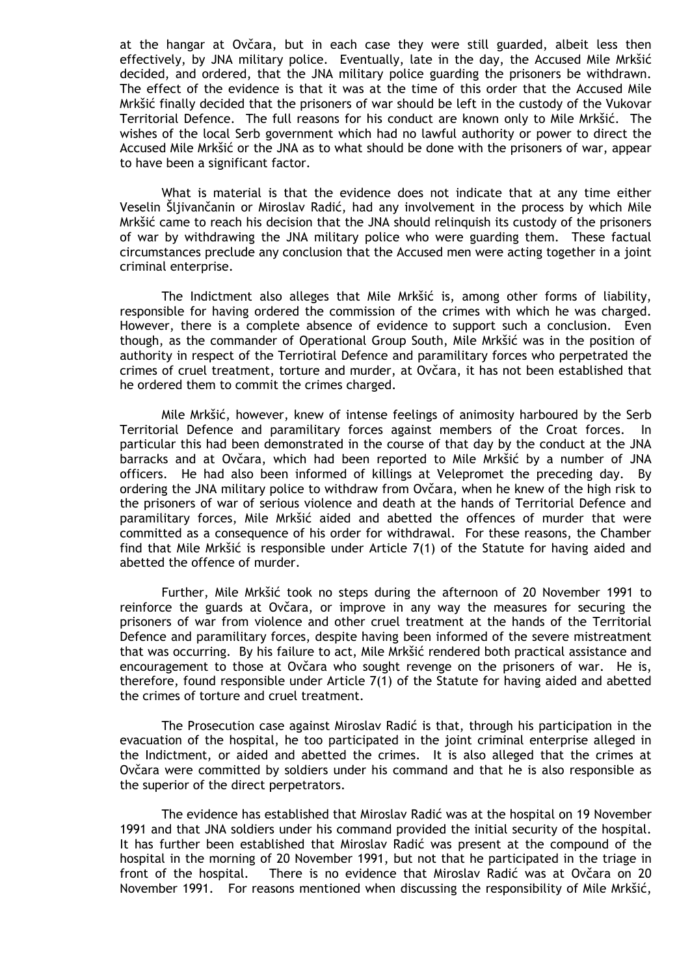at the hangar at Ovčara, but in each case they were still guarded, albeit less then effectively, by JNA military police. Eventually, late in the day, the Accused Mile Mrkšić decided, and ordered, that the JNA military police guarding the prisoners be withdrawn. The effect of the evidence is that it was at the time of this order that the Accused Mile Mrkšić finally decided that the prisoners of war should be left in the custody of the Vukovar Territorial Defence. The full reasons for his conduct are known only to Mile Mrkšić. The wishes of the local Serb government which had no lawful authority or power to direct the Accused Mile Mrkšić or the JNA as to what should be done with the prisoners of war, appear to have been a significant factor.

 What is material is that the evidence does not indicate that at any time either Veselin Šljivančanin or Miroslav Radić, had any involvement in the process by which Mile Mrkšić came to reach his decision that the JNA should relinquish its custody of the prisoners of war by withdrawing the JNA military police who were guarding them. These factual circumstances preclude any conclusion that the Accused men were acting together in a joint criminal enterprise.

 The Indictment also alleges that Mile Mrkšić is, among other forms of liability, responsible for having ordered the commission of the crimes with which he was charged. However, there is a complete absence of evidence to support such a conclusion. Even though, as the commander of Operational Group South, Mile Mrkšić was in the position of authority in respect of the Terriotiral Defence and paramilitary forces who perpetrated the crimes of cruel treatment, torture and murder, at Ovčara, it has not been established that he ordered them to commit the crimes charged.

 Mile Mrkšić, however, knew of intense feelings of animosity harboured by the Serb Territorial Defence and paramilitary forces against members of the Croat forces. In particular this had been demonstrated in the course of that day by the conduct at the JNA barracks and at Ovčara, which had been reported to Mile Mrkšić by a number of JNA officers. He had also been informed of killings at Velepromet the preceding day. By ordering the JNA military police to withdraw from Ovčara, when he knew of the high risk to the prisoners of war of serious violence and death at the hands of Territorial Defence and paramilitary forces, Mile Mrkšić aided and abetted the offences of murder that were committed as a consequence of his order for withdrawal. For these reasons, the Chamber find that Mile Mrkšić is responsible under Article 7(1) of the Statute for having aided and abetted the offence of murder.

 Further, Mile Mrkšić took no steps during the afternoon of 20 November 1991 to reinforce the guards at Ovčara, or improve in any way the measures for securing the prisoners of war from violence and other cruel treatment at the hands of the Territorial Defence and paramilitary forces, despite having been informed of the severe mistreatment that was occurring. By his failure to act, Mile Mrkšić rendered both practical assistance and encouragement to those at Ovčara who sought revenge on the prisoners of war. He is, therefore, found responsible under Article 7(1) of the Statute for having aided and abetted the crimes of torture and cruel treatment.

 The Prosecution case against Miroslav Radić is that, through his participation in the evacuation of the hospital, he too participated in the joint criminal enterprise alleged in the Indictment, or aided and abetted the crimes. It is also alleged that the crimes at Ovčara were committed by soldiers under his command and that he is also responsible as the superior of the direct perpetrators.

 The evidence has established that Miroslav Radić was at the hospital on 19 November 1991 and that JNA soldiers under his command provided the initial security of the hospital. It has further been established that Miroslav Radić was present at the compound of the hospital in the morning of 20 November 1991, but not that he participated in the triage in front of the hospital. There is no evidence that Miroslav Radić was at Ovčara on 20 November 1991. For reasons mentioned when discussing the responsibility of Mile Mrkšić,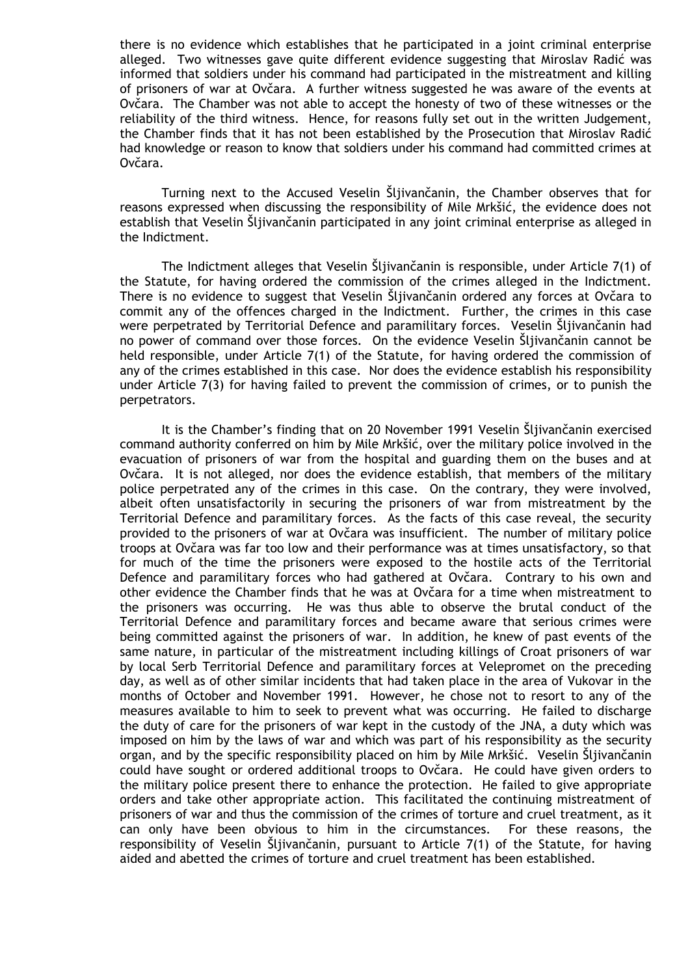there is no evidence which establishes that he participated in a joint criminal enterprise alleged. Two witnesses gave quite different evidence suggesting that Miroslav Radić was informed that soldiers under his command had participated in the mistreatment and killing of prisoners of war at Ovčara. A further witness suggested he was aware of the events at Ovčara. The Chamber was not able to accept the honesty of two of these witnesses or the reliability of the third witness. Hence, for reasons fully set out in the written Judgement, the Chamber finds that it has not been established by the Prosecution that Miroslav Radić had knowledge or reason to know that soldiers under his command had committed crimes at Ovčara.

 Turning next to the Accused Veselin Šljivančanin, the Chamber observes that for reasons expressed when discussing the responsibility of Mile Mrkšić, the evidence does not establish that Veselin Šljivančanin participated in any joint criminal enterprise as alleged in the Indictment.

 The Indictment alleges that Veselin Šljivančanin is responsible, under Article 7(1) of the Statute, for having ordered the commission of the crimes alleged in the Indictment. There is no evidence to suggest that Veselin Šljivančanin ordered any forces at Ovčara to commit any of the offences charged in the Indictment. Further, the crimes in this case were perpetrated by Territorial Defence and paramilitary forces. Veselin Šljivančanin had no power of command over those forces. On the evidence Veselin Šljivančanin cannot be held responsible, under Article 7(1) of the Statute, for having ordered the commission of any of the crimes established in this case. Nor does the evidence establish his responsibility under Article 7(3) for having failed to prevent the commission of crimes, or to punish the perpetrators.

 It is the Chamber's finding that on 20 November 1991 Veselin Šljivančanin exercised command authority conferred on him by Mile Mrkšić, over the military police involved in the evacuation of prisoners of war from the hospital and guarding them on the buses and at Ovčara. It is not alleged, nor does the evidence establish, that members of the military police perpetrated any of the crimes in this case. On the contrary, they were involved, albeit often unsatisfactorily in securing the prisoners of war from mistreatment by the Territorial Defence and paramilitary forces. As the facts of this case reveal, the security provided to the prisoners of war at Ovčara was insufficient. The number of military police troops at Ovčara was far too low and their performance was at times unsatisfactory, so that for much of the time the prisoners were exposed to the hostile acts of the Territorial Defence and paramilitary forces who had gathered at Ovčara. Contrary to his own and other evidence the Chamber finds that he was at Ovčara for a time when mistreatment to the prisoners was occurring. He was thus able to observe the brutal conduct of the Territorial Defence and paramilitary forces and became aware that serious crimes were being committed against the prisoners of war. In addition, he knew of past events of the same nature, in particular of the mistreatment including killings of Croat prisoners of war by local Serb Territorial Defence and paramilitary forces at Velepromet on the preceding day, as well as of other similar incidents that had taken place in the area of Vukovar in the months of October and November 1991. However, he chose not to resort to any of the measures available to him to seek to prevent what was occurring. He failed to discharge the duty of care for the prisoners of war kept in the custody of the JNA, a duty which was imposed on him by the laws of war and which was part of his responsibility as the security organ, and by the specific responsibility placed on him by Mile Mrkšić. Veselin Šljivančanin could have sought or ordered additional troops to Ovčara. He could have given orders to the military police present there to enhance the protection. He failed to give appropriate orders and take other appropriate action. This facilitated the continuing mistreatment of prisoners of war and thus the commission of the crimes of torture and cruel treatment, as it can only have been obvious to him in the circumstances. For these reasons, the responsibility of Veselin Šljivančanin, pursuant to Article 7(1) of the Statute, for having aided and abetted the crimes of torture and cruel treatment has been established.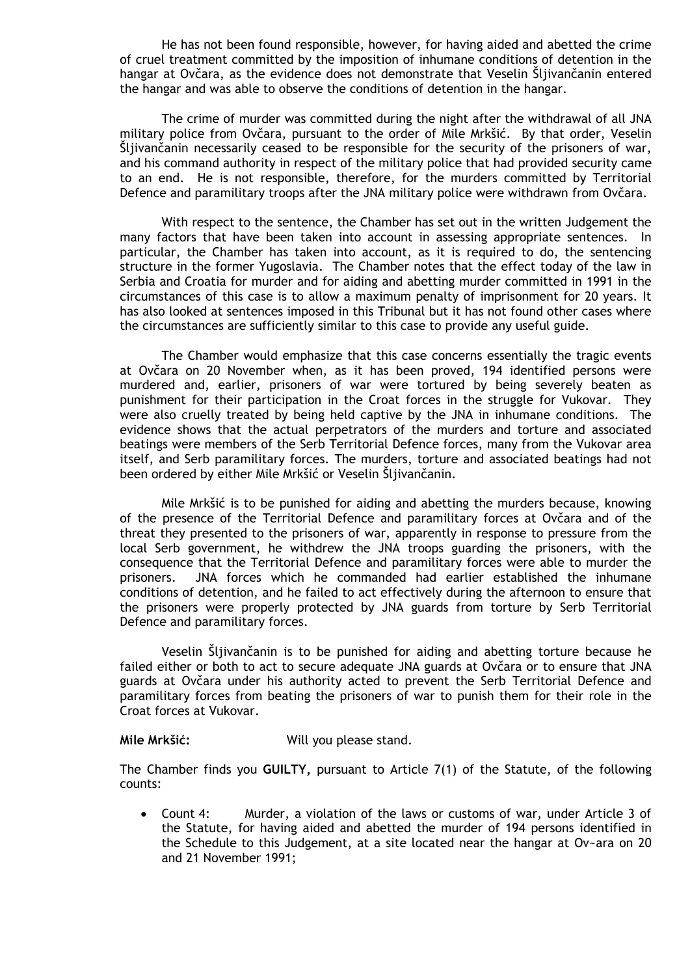He has not been found responsible, however, for having aided and abetted the crime of cruel treatment committed by the imposition of inhumane conditions of detention in the hangar at Ovčara, as the evidence does not demonstrate that Veselin Šljivančanin entered the hangar and was able to observe the conditions of detention in the hangar.

 The crime of murder was committed during the night after the withdrawal of all JNA military police from Ovčara, pursuant to the order of Mile Mrkšić. By that order, Veselin Šljivančanin necessarily ceased to be responsible for the security of the prisoners of war, and his command authority in respect of the military police that had provided security came to an end. He is not responsible, therefore, for the murders committed by Territorial Defence and paramilitary troops after the JNA military police were withdrawn from Ovčara.

 With respect to the sentence, the Chamber has set out in the written Judgement the many factors that have been taken into account in assessing appropriate sentences. In particular, the Chamber has taken into account, as it is required to do, the sentencing structure in the former Yugoslavia. The Chamber notes that the effect today of the law in Serbia and Croatia for murder and for aiding and abetting murder committed in 1991 in the circumstances of this case is to allow a maximum penalty of imprisonment for 20 years. It has also looked at sentences imposed in this Tribunal but it has not found other cases where the circumstances are sufficiently similar to this case to provide any useful guide.

 The Chamber would emphasize that this case concerns essentially the tragic events at Ovčara on 20 November when, as it has been proved, 194 identified persons were murdered and, earlier, prisoners of war were tortured by being severely beaten as punishment for their participation in the Croat forces in the struggle for Vukovar. They were also cruelly treated by being held captive by the JNA in inhumane conditions. The evidence shows that the actual perpetrators of the murders and torture and associated beatings were members of the Serb Territorial Defence forces, many from the Vukovar area itself, and Serb paramilitary forces. The murders, torture and associated beatings had not been ordered by either Mile Mrkšić or Veselin Šljivančanin.

 Mile Mrkšić is to be punished for aiding and abetting the murders because, knowing of the presence of the Territorial Defence and paramilitary forces at Ovčara and of the threat they presented to the prisoners of war, apparently in response to pressure from the local Serb government, he withdrew the JNA troops guarding the prisoners, with the consequence that the Territorial Defence and paramilitary forces were able to murder the prisoners. JNA forces which he commanded had earlier established the inhumane conditions of detention, and he failed to act effectively during the afternoon to ensure that the prisoners were properly protected by JNA guards from torture by Serb Territorial Defence and paramilitary forces.

 Veselin Šljivančanin is to be punished for aiding and abetting torture because he failed either or both to act to secure adequate JNA guards at Ovčara or to ensure that JNA guards at Ovčara under his authority acted to prevent the Serb Territorial Defence and paramilitary forces from beating the prisoners of war to punish them for their role in the Croat forces at Vukovar.

## **Mile Mrkšić:** Will you please stand.

The Chamber finds you **GUILTY,** pursuant to Article 7(1) of the Statute, of the following counts:

• Count 4: Murder, a violation of the laws or customs of war, under Article 3 of the Statute, for having aided and abetted the murder of 194 persons identified in the Schedule to this Judgement, at a site located near the hangar at Ov~ara on 20 and 21 November 1991;